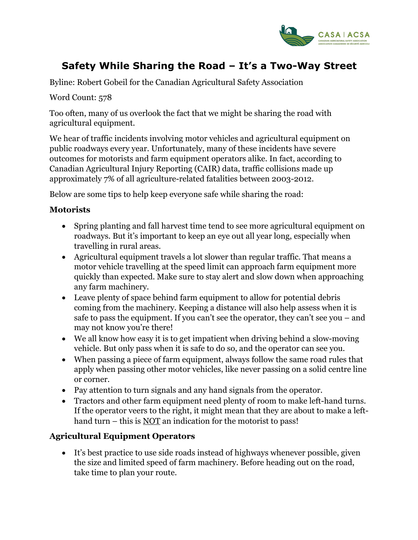

## **Safety While Sharing the Road – It's a Two-Way Street**

Byline: Robert Gobeil for the Canadian Agricultural Safety Association

Word Count: 578

Too often, many of us overlook the fact that we might be sharing the road with agricultural equipment.

We hear of traffic incidents involving motor vehicles and agricultural equipment on public roadways every year. Unfortunately, many of these incidents have severe outcomes for motorists and farm equipment operators alike. In fact, according to Canadian Agricultural Injury Reporting (CAIR) data, traffic collisions made up approximately 7% of all agriculture-related fatalities between 2003-2012.

Below are some tips to help keep everyone safe while sharing the road:

## **Motorists**

- Spring planting and fall harvest time tend to see more agricultural equipment on roadways. But it's important to keep an eye out all year long, especially when travelling in rural areas.
- Agricultural equipment travels a lot slower than regular traffic. That means a motor vehicle travelling at the speed limit can approach farm equipment more quickly than expected. Make sure to stay alert and slow down when approaching any farm machinery.
- Leave plenty of space behind farm equipment to allow for potential debris coming from the machinery. Keeping a distance will also help assess when it is safe to pass the equipment. If you can't see the operator, they can't see you – and may not know you're there!
- We all know how easy it is to get impatient when driving behind a slow-moving vehicle. But only pass when it is safe to do so, and the operator can see you.
- When passing a piece of farm equipment, always follow the same road rules that apply when passing other motor vehicles, like never passing on a solid centre line or corner.
- Pay attention to turn signals and any hand signals from the operator.
- Tractors and other farm equipment need plenty of room to make left-hand turns. If the operator veers to the right, it might mean that they are about to make a lefthand turn – this is NOT an indication for the motorist to pass!

## **Agricultural Equipment Operators**

• It's best practice to use side roads instead of highways whenever possible, given the size and limited speed of farm machinery. Before heading out on the road, take time to plan your route.